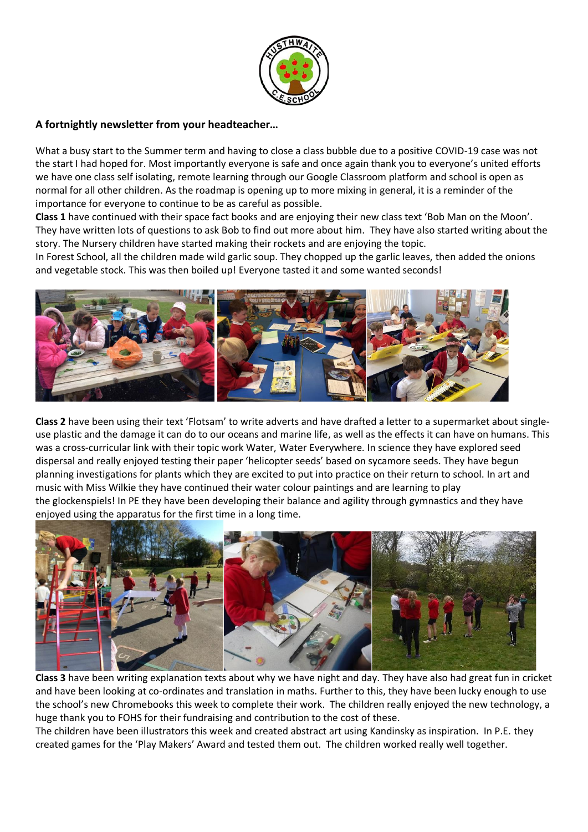

# **A fortnightly newsletter from your headteacher…**

What a busy start to the Summer term and having to close a class bubble due to a positive COVID-19 case was not the start I had hoped for. Most importantly everyone is safe and once again thank you to everyone's united efforts we have one class self isolating, remote learning through our Google Classroom platform and school is open as normal for all other children. As the roadmap is opening up to more mixing in general, it is a reminder of the importance for everyone to continue to be as careful as possible.

**Class 1** have continued with their space fact books and are enjoying their new class text 'Bob Man on the Moon'. They have written lots of questions to ask Bob to find out more about him. They have also started writing about the story. The Nursery children have started making their rockets and are enjoying the topic.

In Forest School, all the children made wild garlic soup. They chopped up the garlic leaves, then added the onions and vegetable stock. This was then boiled up! Everyone tasted it and some wanted seconds!



**Class 2** have been using their text 'Flotsam' to write adverts and have drafted a letter to a supermarket about singleuse plastic and the damage it can do to our oceans and marine life, as well as the effects it can have on humans. This was a cross-curricular link with their topic work Water, Water Everywhere. In science they have explored seed dispersal and really enjoyed testing their paper 'helicopter seeds' based on sycamore seeds. They have begun planning investigations for plants which they are excited to put into practice on their return to school. In art and music with Miss Wilkie they have continued their water colour paintings and are learning to play the glockenspiels! In PE they have been developing their balance and agility through gymnastics and they have enjoyed using the apparatus for the first time in a long time.



**Class 3** have been writing explanation texts about why we have night and day. They have also had great fun in cricket and have been looking at co-ordinates and translation in maths. Further to this, they have been lucky enough to use the school's new Chromebooks this week to complete their work. The children really enjoyed the new technology, a huge thank you to FOHS for their fundraising and contribution to the cost of these.

The children have been illustrators this week and created abstract art using Kandinsky as inspiration. In P.E. they created games for the 'Play Makers' Award and tested them out. The children worked really well together.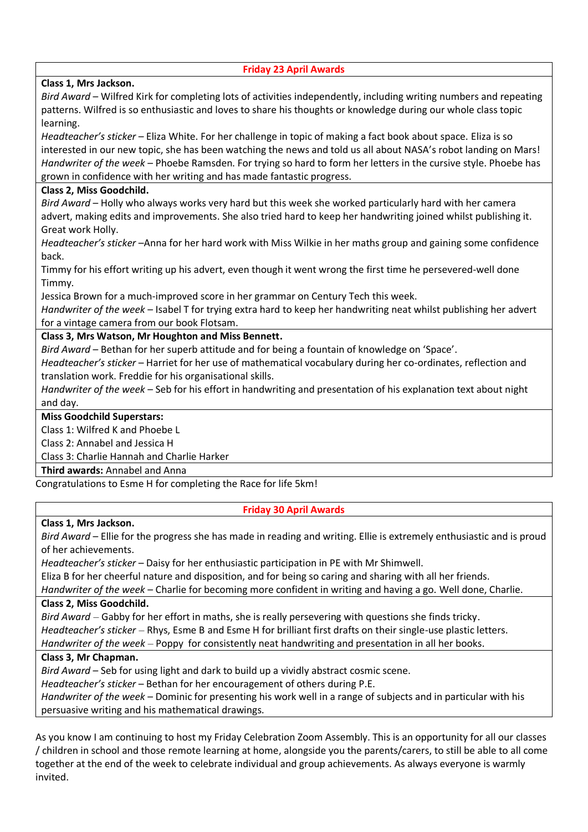| <b>Friday 23 April Awards</b>                                                                                      |  |
|--------------------------------------------------------------------------------------------------------------------|--|
| Class 1, Mrs Jackson.                                                                                              |  |
| Bird Award – Wilfred Kirk for completing lots of activities independently, including writing numbers and repeating |  |
| patterns. Wilfred is so enthusiastic and loves to share his thoughts or knowledge during our whole class topic     |  |
| learning.                                                                                                          |  |
| Headteacher's sticker - Eliza White. For her challenge in topic of making a fact book about space. Eliza is so     |  |
| interested in our new topic, she has been watching the news and told us all about NASA's robot landing on Mars!    |  |
| Handwriter of the week - Phoebe Ramsden. For trying so hard to form her letters in the cursive style. Phoebe has   |  |
| grown in confidence with her writing and has made fantastic progress.                                              |  |
| Class 2, Miss Goodchild.                                                                                           |  |
| Bird Award - Holly who always works very hard but this week she worked particularly hard with her camera           |  |
| advert, making edits and improvements. She also tried hard to keep her handwriting joined whilst publishing it.    |  |
| Great work Holly.                                                                                                  |  |
| Headteacher's sticker-Anna for her hard work with Miss Wilkie in her maths group and gaining some confidence       |  |
| back.                                                                                                              |  |
| Timmy for his effort writing up his advert, even though it went wrong the first time he persevered-well done       |  |
| Timmy.                                                                                                             |  |
| Jessica Brown for a much-improved score in her grammar on Century Tech this week.                                  |  |
| Handwriter of the week - Isabel T for trying extra hard to keep her handwriting neat whilst publishing her advert  |  |
| for a vintage camera from our book Flotsam.                                                                        |  |
| Class 3, Mrs Watson, Mr Houghton and Miss Bennett.                                                                 |  |
| Bird Award - Bethan for her superb attitude and for being a fountain of knowledge on 'Space'.                      |  |
| Headteacher's sticker - Harriet for her use of mathematical vocabulary during her co-ordinates, reflection and     |  |
| translation work. Freddie for his organisational skills.                                                           |  |
| Handwriter of the week - Seb for his effort in handwriting and presentation of his explanation text about night    |  |
| and day.                                                                                                           |  |
| <b>Miss Goodchild Superstars:</b>                                                                                  |  |
| Class 1: Wilfred K and Phoebe L                                                                                    |  |
| Class 2: Annabel and Jessica H                                                                                     |  |
| Class 3: Charlie Hannah and Charlie Harker                                                                         |  |
| <b>Third awards: Annabel and Anna</b>                                                                              |  |
| Congratulations to Esme H for completing the Race for life 5km!                                                    |  |
|                                                                                                                    |  |

## **Friday 30 April Awards**

# **Class 1, Mrs Jackson.**

*Bird Award* – Ellie for the progress she has made in reading and writing. Ellie is extremely enthusiastic and is proud of her achievements.

*Headteacher's sticker* – Daisy for her enthusiastic participation in PE with Mr Shimwell.

Eliza B for her cheerful nature and disposition, and for being so caring and sharing with all her friends.

*Handwriter of the week* – Charlie for becoming more confident in writing and having a go. Well done, Charlie. **Class 2, Miss Goodchild.**

*Bird Award* – Gabby for her effort in maths, she is really persevering with questions she finds tricky. *Headteacher's sticker* – Rhys, Esme B and Esme H for brilliant first drafts on their single-use plastic letters. *Handwriter of the week* – Poppy for consistently neat handwriting and presentation in all her books.

## **Class 3, Mr Chapman.**

*Bird Award* – Seb for using light and dark to build up a vividly abstract cosmic scene.

*Headteacher's sticker* – Bethan for her encouragement of others during P.E.

*Handwriter of the week* – Dominic for presenting his work well in a range of subjects and in particular with his persuasive writing and his mathematical drawings.

As you know I am continuing to host my Friday Celebration Zoom Assembly. This is an opportunity for all our classes / children in school and those remote learning at home, alongside you the parents/carers, to still be able to all come together at the end of the week to celebrate individual and group achievements. As always everyone is warmly invited.